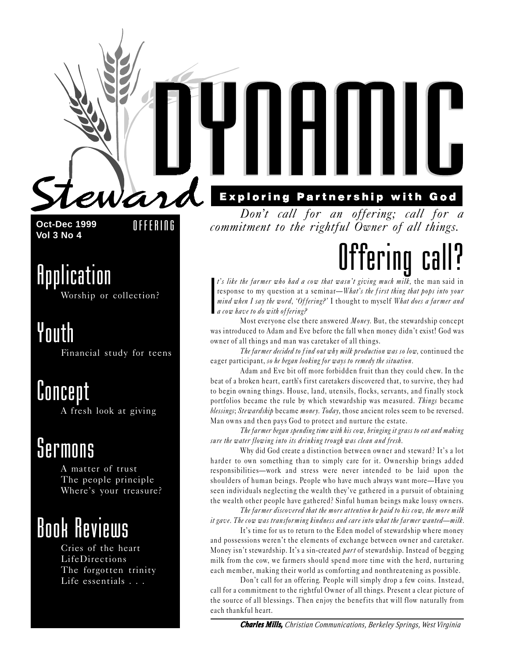

**Oct-Dec 1999 Vol 3 No 4**

OFFERING

### Application Worship or collection?

Youth

Financial study for teens

### Concept

A fresh look at giving

### Sermons

A matter of trust The people principle Where's your treasure?

## Book Reviews

Cries of the heart LifeDirections The forgotten trinity Life essentials . . .

#### **Exploring Partnership with God**

Dont call for an offering; call for a commitment to the rightful Owner of all things.

# Offering

I t's like the farmer who had a cow that wasn't giving much milk, the man said in response to my question at a seminar—What's the first thing that pops into your mind when I say the word, 'Offering?' I thought to myself What does a farmer and a cow have to do with offering?

Most everyone else there answered *Money*. But, the stewardship concept was introduced to Adam and Eve before the fall when money didn't exist! God was owner of all things and man was caretaker of all things.

The farmer decided to find out why milk production was so low, continued the eager participant, so he began looking for ways to remedy the situation.

Adam and Eve bit off more forbidden fruit than they could chew. In the beat of a broken heart, earth's first caretakers discovered that, to survive, they had to begin owning things. House, land, utensils, flocks, servants, and finally stock portfolios became the rule by which stewardship was measured. Things became blessings; Stewardship became money. Today, those ancient roles seem to be reversed. Man owns and then pays God to protect and nurture the estate.

The farmer began spending time with his cow, bringing it grass to eat and making sure the water flowing into its drinking trough was clean and fresh.

Why did God create a distinction between owner and steward? It's a lot harder to own something than to simply care for it. Ownership brings added responsibilities—work and stress were never intended to be laid upon the shoulders of human beings. People who have much always want more—Have you seen individuals neglecting the wealth theyve gathered in a pursuit of obtaining the wealth other people have gathered? Sinful human beings make lousy owners.

The farmer discovered that the more attention he paid to his cow, the more milk it gave. The cow was transforming kindness and care into what the farmer wanted—milk.

It's time for us to return to the Eden model of stewardship where money and possessions weren't the elements of exchange between owner and caretaker. Money isn't stewardship. It's a sin-created *part* of stewardship. Instead of begging milk from the cow, we farmers should spend more time with the herd, nurturing each member, making their world as comforting and nonthreatening as possible.

Don't call for an offering. People will simply drop a few coins. Instead, call for a commitment to the rightful Owner of all things. Present a clear picture of the source of all blessings. Then enjoy the benefits that will flow naturally from each thankful heart.

*Charles Mills, Christian Communications, Berkeley Springs, West Virginia*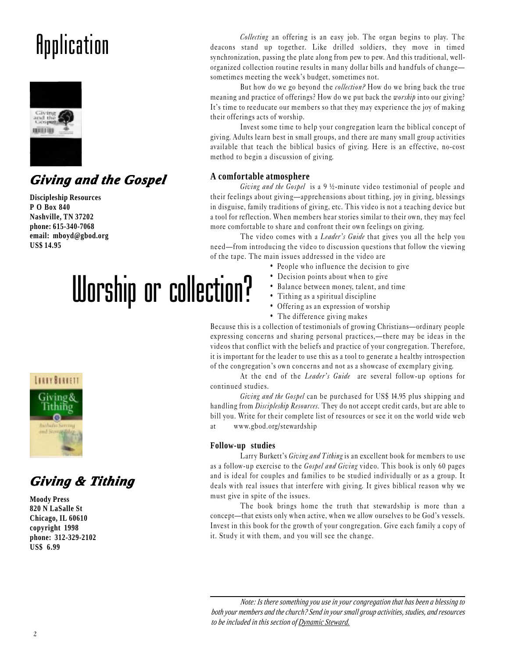## **Application**



### *Giving and the Gospel Giving and the Gospel*

**Discipleship Resources P O Box 840 Nashville, TN 37202 phone: 615-340-7068 email: mboyd@gbod.org US\$ 14.95**

# Worship or collection?

Collecting an offering is an easy job. The organ begins to play. The deacons stand up together. Like drilled soldiers, they move in timed synchronization, passing the plate along from pew to pew. And this traditional, wellorganized collection routine results in many dollar bills and handfuls of change sometimes meeting the week's budget, sometimes not.

But how do we go beyond the *collection?* How do we bring back the true meaning and practice of offerings? How do we put back the *worship* into our giving? It's time to reeducate our members so that they may experience the joy of making their offerings acts of worship.

Invest some time to help your congregation learn the biblical concept of giving. Adults learn best in small groups, and there are many small group activities available that teach the biblical basics of giving. Here is an effective, no-cost method to begin a discussion of giving.

#### **A comfortable atmosphere**

Giving and the Gospel is a 9 ½-minute video testimonial of people and their feelings about giving—apprehensions about tithing, joy in giving, blessings in disguise, family traditions of giving, etc. This video is not a teaching device but a tool for reflection. When members hear stories similar to their own, they may feel more comfortable to share and confront their own feelings on giving.

The video comes with a *Leader's Guide* that gives you all the help you need—from introducing the video to discussion questions that follow the viewing of the tape. The main issues addressed in the video are

- People who influence the decision to give
- Decision points about when to give
- Balance between money, talent, and time
- Tithing as a spiritual discipline
- Offering as an expression of worship
- The difference giving makes

Because this is a collection of testimonials of growing Christians—ordinary people expressing concerns and sharing personal practices,—there may be ideas in the videos that conflict with the beliefs and practice of your congregation. Therefore, it is important for the leader to use this as a tool to generate a healthy introspection of the congregation's own concerns and not as a showcase of exemplary giving.

At the end of the *Leader's Guide* are several follow-up options for continued studies.

Giving and the Gospel can be purchased for US\$ 14.95 plus shipping and handling from Discipleship Resources. They do not accept credit cards, but are able to bill you. Write for their complete list of resources or see it on the world wide web at www.gbod.org/stewardship

#### **Follow-up studies**

Larry Burkett's *Giving and Tithing* is an excellent book for members to use as a follow-up exercise to the *Gospel and Giving* video. This book is only 60 pages and is ideal for couples and families to be studied individually or as a group. It deals with real issues that interfere with giving. It gives biblical reason why we must give in spite of the issues.

The book brings home the truth that stewardship is more than a concept—that exists only when active, when we allow ourselves to be God's vessels. Invest in this book for the growth of your congregation. Give each family a copy of it. Study it with them, and you will see the change.

*Note: Is there something you use in your congregation that has been a blessing to both your members and the church? Send in your small group activities, studies, and resources to be included in this section of Dynamic Steward.*



### *Giving & ving & Tithing*

**Moody Press 820 N LaSalle St Chicago, IL 60610 copyright 1998 phone: 312-329-2102 US\$ 6.99**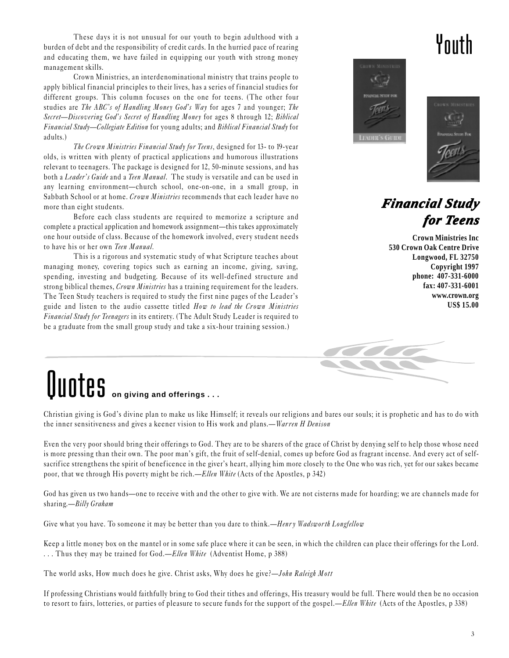These days it is not unusual for our youth to begin adulthood with a burden of debt and the responsibility of credit cards. In the hurried pace of rearing and educating them, we have failed in equipping our youth with strong money management skills.

Crown Ministries, an interdenominational ministry that trains people to apply biblical financial principles to their lives, has a series of financial studies for different groups. This column focuses on the one for teens. (The other four studies are *The ABC's of Handling Money God's Way* for ages 7 and younger; *The* Secret-Discovering God's Secret of Handling Money for ages 8 through 12; Biblical Financial Study—Collegiate Edition for young adults; and Biblical Financial Study for adults.)

The Crown Ministries Financial Study for Teens, designed for 13- to 19-year olds, is written with plenty of practical applications and humorous illustrations relevant to teenagers. The package is designed for 12, 50-minute sessions, and has both a Leader's Guide and a Teen Manual. The study is versatile and can be used in any learning environment-church school, one-on-one, in a small group, in Sabbath School or at home. Crown Ministries recommends that each leader have no more than eight students.

Before each class students are required to memorize a scripture and complete a practical application and homework assignment—this takes approximately one hour outside of class. Because of the homework involved, every student needs to have his or her own Teen Manual.

This is a rigorous and systematic study of what Scripture teaches about managing money, covering topics such as earning an income, giving, saving, spending, investing and budgeting. Because of its well-defined structure and strong biblical themes, Crown Ministries has a training requirement for the leaders. The Teen Study teachers is required to study the first nine pages of the Leader's guide and listen to the audio cassette titled How to lead the Crown Ministries Financial Study for Teenagers in its entirety. (The Adult Study Leader is required to be a graduate from the small group study and take a six-hour training session.)

# **Quotes** on giving and offerings . . .

Christian giving is God's divine plan to make us like Himself; it reveals our religions and bares our souls; it is prophetic and has to do with the inner sensitiveness and gives a keener vision to His work and plans.—Warren H Denison

Even the very poor should bring their offerings to God. They are to be sharers of the grace of Christ by denying self to help those whose need is more pressing than their own. The poor man's gift, the fruit of self-denial, comes up before God as fragrant incense. And every act of selfsacrifice strengthens the spirit of beneficence in the giver's heart, allying him more closely to the One who was rich, yet for our sakes became poor, that we through His poverty might be rich.—Ellen White (Acts of the Apostles, p 342)

God has given us two hands—one to receive with and the other to give with. We are not cisterns made for hoarding; we are channels made for sharing.— $Billy$  Graham

Give what you have. To someone it may be better than you dare to think.—Henry Wadsworth Longfellow

Keep a little money box on the mantel or in some safe place where it can be seen, in which the children can place their offerings for the Lord. ... Thus they may be trained for God.—*Ellen White* (Adventist Home, p 388)

The world asks, How much does he give. Christ asks, Why does he give?—John Raleigh Mott

If professing Christians would faithfully bring to God their tithes and offerings, His treasury would be full. There would then be no occasion to resort to fairs, lotteries, or parties of pleasure to secure funds for the support of the gospel.—Ellen White (Acts of the Apostles, p 338)

### Youth





### *Financial Stud inancial Study for Teens*

**Crown Ministries Inc 530 Crown Oak Centre Drive Longwood, FL 32750 Copyright 1997 phone: 407-331-6000 fax: 407-331-6001 www.crown.org US\$ 15.00**

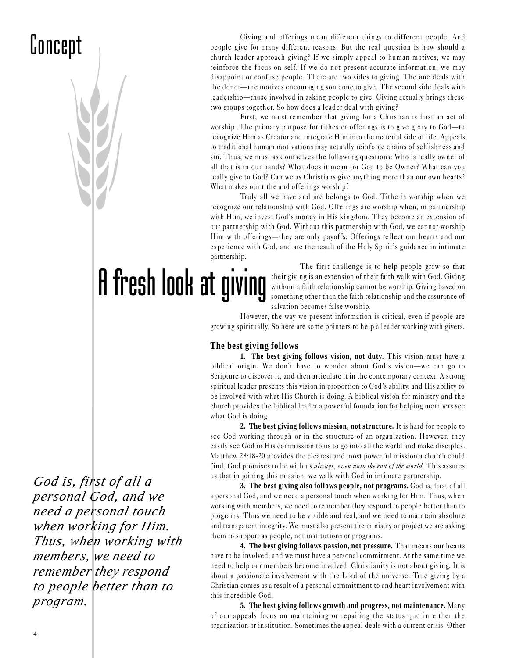## Concept

Giving and offerings mean different things to different people. And people give for many different reasons. But the real question is how should a church leader approach giving? If we simply appeal to human motives, we may reinforce the focus on self. If we do not present accurate information, we may disappoint or confuse people. There are two sides to giving. The one deals with the donor—the motives encouraging someone to give. The second side deals with leadership—those involved in asking people to give. Giving actually brings these two groups together. So how does a leader deal with giving?

First, we must remember that giving for a Christian is first an act of worship. The primary purpose for tithes or offerings is to give glory to  $God$ —to recognize Him as Creator and integrate Him into the material side of life. Appeals to traditional human motivations may actually reinforce chains of selfishness and sin. Thus, we must ask ourselves the following questions: Who is really owner of all that is in our hands? What does it mean for God to be Owner? What can you really give to God? Can we as Christians give anything more than our own hearts? What makes our tithe and offerings worship?

Truly all we have and are belongs to God. Tithe is worship when we recognize our relationship with God. Offerings are worship when, in partnership with Him, we invest God's money in His kingdom. They become an extension of our partnership with God. Without this partnership with God, we cannot worship Him with offerings—they are only payoffs. Offerings reflect our hearts and our experience with God, and are the result of the Holy Spirit's guidance in intimate partnership.

A fresh look at giving

The first challenge is to help people grow so that their giving is an extension of their faith walk with God. Giving without a faith relationship cannot be worship. Giving based on something other than the faith relationship and the assurance of salvation becomes false worship.

However, the way we present information is critical, even if people are growing spiritually. So here are some pointers to help a leader working with givers.

#### **The best giving follows**

**1. The best giving follows vision, not duty.** This vision must have a biblical origin. We don't have to wonder about God's vision—we can go to Scripture to discover it, and then articulate it in the contemporary context. A strong spiritual leader presents this vision in proportion to God's ability, and His ability to be involved with what His Church is doing. A biblical vision for ministry and the church provides the biblical leader a powerful foundation for helping members see what God is doing.

**2. The best giving follows mission, not structure.** It is hard for people to see God working through or in the structure of an organization. However, they easily see God in His commission to us to go into all the world and make disciples. Matthew 28:18-20 provides the clearest and most powerful mission a church could find. God promises to be with us always, even unto the end of the world. This assures us that in joining this mission, we walk with God in intimate partnership.

**3. The best giving also follows people, not programs.** God is, first of all a personal God, and we need a personal touch when working for Him. Thus, when working with members, we need to remember they respond to people better than to programs. Thus we need to be visible and real, and we need to maintain absolute and transparent integrity. We must also present the ministry or project we are asking them to support as people, not institutions or programs.

**4. The best giving follows passion, not pressure.** That means our hearts have to be involved, and we must have a personal commitment. At the same time we need to help our members become involved. Christianity is not about giving. It is about a passionate involvement with the Lord of the universe. True giving by a Christian comes as a result of a personal commitment to and heart involvement with this incredible God.

**5. The best giving follows growth and progress, not maintenance.** Many of our appeals focus on maintaining or repairing the status quo in either the organization or institution. Sometimes the appeal deals with a current crisis. Other

*God is, first of all a personal God, and we need a personal touch when working for Him. Thus, when working with members, we need to remember they respond to people better than to program.*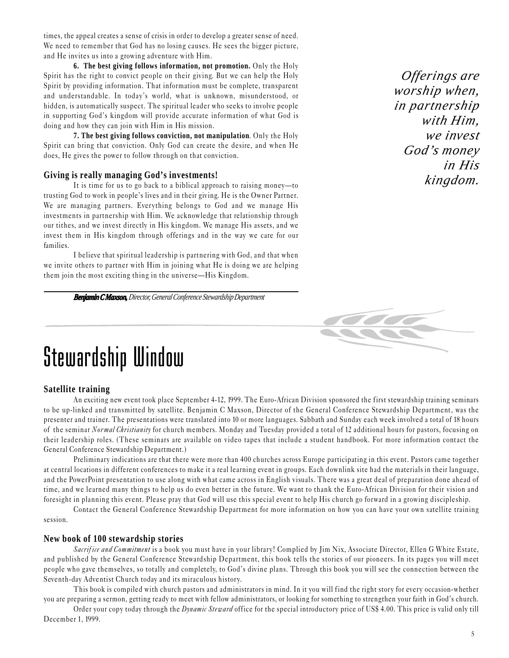times, the appeal creates a sense of crisis in order to develop a greater sense of need. We need to remember that God has no losing causes. He sees the bigger picture, and He invites us into a growing adventure with Him.

**6. The best giving follows information, not promotion.** Only the Holy Spirit has the right to convict people on their giving. But we can help the Holy Spirit by providing information. That information must be complete, transparent and understandable. In today's world, what is unknown, misunderstood, or hidden, is automatically suspect. The spiritual leader who seeks to involve people in supporting God's kingdom will provide accurate information of what God is doing and how they can join with Him in His mission.

**7. The best giving follows conviction, not manipulation**. Only the Holy Spirit can bring that conviction. Only God can create the desire, and when He does, He gives the power to follow through on that conviction.

#### **Giving is really managing God's investments!**

It is time for us to go back to a biblical approach to raising money-to trusting God to work in people's lives and in their giving. He is the Owner Partner. We are managing partners. Everything belongs to God and we manage His investments in partnership with Him. We acknowledge that relationship through our tithes, and we invest directly in His kingdom. We manage His assets, and we invest them in His kingdom through offerings and in the way we care for our families.

I believe that spiritual leadership is partnering with God, and that when we invite others to partner with Him in joining what He is doing we are helping them join the most exciting thing in the universe—His Kingdom.

*Benjamin C Maxson, Director, General Conference Stewardship Department*

#### *Offerings are worship when, in partnership with Him, we invest God's money in His kingdom.*



### Stewardship Window

#### **Satellite training**

An exciting new event took place September 4-12, 1999. The Euro-African Division sponsored the first stewardship training seminars to be up-linked and transmitted by satellite. Benjamin C Maxson, Director of the General Conference Stewardship Department, was the presenter and trainer. The presentations were translated into 10 or more languages. Sabbath and Sunday each week involved a total of 18 hours of the seminar Normal Christianity for church members. Monday and Tuesday provided a total of 12 additional hours for pastors, focusing on their leadership roles. (These seminars are available on video tapes that include a student handbook. For more information contact the General Conference Stewardship Department.)

Preliminary indications are that there were more than 400 churches across Europe participating in this event. Pastors came together at central locations in different conferences to make it a real learning event in groups. Each downlink site had the materials in their language, and the PowerPoint presentation to use along with what came across in English visuals. There was a great deal of preparation done ahead of time, and we learned many things to help us do even better in the future. We want to thank the Euro-African Division for their vision and foresight in planning this event. Please pray that God will use this special event to help His church go forward in a growing discipleship.

Contact the General Conference Stewardship Department for more information on how you can have your own satellite training session.

#### **New book of 100 stewardship stories**

Sacrifice and Commitment is a book you must have in your library! Complied by Jim Nix, Associate Director, Ellen G White Estate, and published by the General Conference Stewardship Department, this book tells the stories of our pioneers. In its pages you will meet people who gave themselves, so totally and completely, to God's divine plans. Through this book you will see the connection between the Seventh-day Adventist Church today and its miraculous history.

This book is compiled with church pastors and administrators in mind. In it you will find the right story for every occasion-whether you are preparing a sermon, getting ready to meet with fellow administrators, or looking for something to strengthen your faith in God's church.

Order your copy today through the *Dynamic Steward* office for the special introductory price of US\$ 4.00. This price is valid only till December 1, 1999.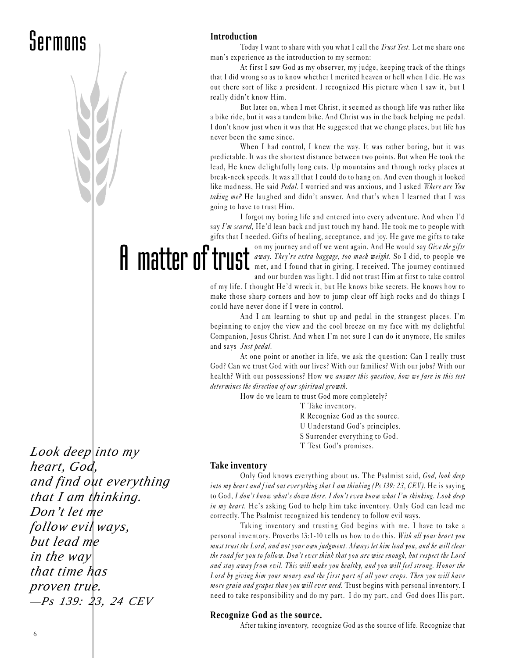## Sermons

#### **Introduction**

Today I want to share with you what I call the *Trust Test*. Let me share one man's experience as the introduction to my sermon:

At first I saw God as my observer, my judge, keeping track of the things that I did wrong so as to know whether I merited heaven or hell when I die. He was out there sort of like a president. I recognized His picture when I saw it, but I really didn't know Him.

But later on, when I met Christ, it seemed as though life was rather like a bike ride, but it was a tandem bike. And Christ was in the back helping me pedal. I don't know just when it was that He suggested that we change places, but life has never been the same since.

When I had control, I knew the way. It was rather boring, but it was predictable. It was the shortest distance between two points. But when He took the lead, He knew delightfully long cuts. Up mountains and through rocky places at break-neck speeds. It was all that I could do to hang on. And even though it looked like madness, He said Pedal. I worried and was anxious, and I asked Where are You taking me? He laughed and didn't answer. And that's when I learned that I was going to have to trust Him.

I forgot my boring life and entered into every adventure. And when I'd say  $I'm\,scard$ , He'd lean back and just touch my hand. He took me to people with gifts that I needed. Gifts of healing, acceptance, and joy. He gave me gifts to take

A matter of trust on my journey and off we went again. And He would say Give the gifts away. They're extra baggage, too much weight. So I did, to people we met, and I found that in giving, I received. The journey continued and our burden was light. I did not trust Him at first to take control

> of my life. I thought He'd wreck it, but He knows bike secrets. He knows how to make those sharp corners and how to jump clear off high rocks and do things I could have never done if I were in control.

> And I am learning to shut up and pedal in the strangest places. I'm beginning to enjoy the view and the cool breeze on my face with my delightful Companion, Jesus Christ. And when I'm not sure I can do it anymore, He smiles and says Just pedal.

> At one point or another in life, we ask the question: Can I really trust God? Can we trust God with our lives? With our families? With our jobs? With our health? With our possessions? How we *answer this question, how we fare in this test* determines the direction of our spiritual growth.

How do we learn to trust God more completely?

T Take inventory. R Recognize God as the source. U Understand God's principles. S Surrender everything to God.

T Test God's promises.

*Look deep into my heart, God, and find out everything that I am thinking. Don't let me follow evil ways, but lead me in the way that time has proven true. —Ps 139: 23, 24 CEV*

#### **Take inventory**

Only God knows everything about us. The Psalmist said, God, look deep into my heart and find out everything that I am thinking (Ps 139: 23, CEV). He is saying to God, I don't know what's down there. I don't even know what I'm thinking. Look deep in my heart. He's asking God to help him take inventory. Only God can lead me correctly. The Psalmist recognized his tendency to follow evil ways.

Taking inventory and trusting God begins with me. I have to take a personal inventory. Proverbs 13:1-10 tells us how to do this. With all your heart you must trust the Lord, and not your own judgment. Always let him lead you, and he will clear the road for you to follow. Don't ever think that you are wise enough, but respect the Lord and stay away from evil. This will make you healthy, and you will feel strong. Honor the Lord by giving him your money and the first part of all your crops. Then you will have more grain and grapes than you will ever need. Trust begins with personal inventory. I need to take responsibility and do my part. I do my part, and God does His part.

#### **Recognize God as the source.**

After taking inventory, recognize God as the source of life. Recognize that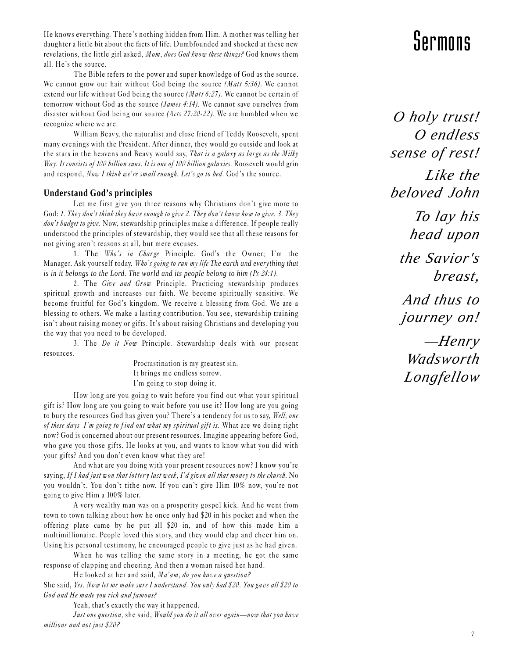He knows everything. There's nothing hidden from Him. A mother was telling her<br>daughter a little bit about the facts of life. Dumbfounded and shocked at these new<br>revelations, the little girl asked, *Mom, does God know the* daughter a little bit about the facts of life. Dumbfounded and shocked at these new all. He's the source.

The Bible refers to the power and super knowledge of God as the source. We cannot grow our hair without God being the source *(Matt 5:36)*. We cannot extend our life without God being the source *(Matt 6:27)*. We cannot be certain of tomorrow without God as the source (James 4:14). We cannot save ourselves from disaster without God being our source (Acts 27:20-22). We are humbled when we recognize where we are.

William Beavy, the naturalist and close friend of Teddy Roosevelt, spent many evenings with the President. After dinner, they would go outside and look at the stars in the heavens and Beavy would say, That is a galaxy as large as the Milky Way. It consists of 100 billion suns. It is one of 100 billion galaxies. Roosevelt would grin and respond, Now I think we're small enough. Let's go to bed. God's the source.

#### **Understand God's principles**

Let me first give you three reasons why Christians don't give more to God: 1. They don't think they have enough to give 2. They don't know how to give. 3. They don't budget to give. Now, stewardship principles make a difference. If people really understood the principles of stewardship, they would see that all these reasons for not giving aren't reasons at all, but mere excuses.

1. The Who's in Charge Principle. God's the Owner; I'm the Manager. Ask yourself today, Who's going to run my life The earth and everything that *is in it belongs to the Lord. The world and its people belong to him* (Ps 24:1).

2. The Give and Grow Principle. Practicing stewardship produces spiritual growth and increases our faith. We become spiritually sensitive. We become fruitful for God's kingdom. We receive a blessing from God. We are a blessing to others. We make a lasting contribution. You see, stewardship training isn't about raising money or gifts. It's about raising Christians and developing you the way that you need to be developed.

3. The Do it Now Principle. Stewardship deals with our present resources.

> Procrastination is my greatest sin. It brings me endless sorrow. I'm going to stop doing it.

How long are you going to wait before you find out what your spiritual gift is? How long are you going to wait before you use it? How long are you going to bury the resources God has given you? There's a tendency for us to say, Well, one of these days I'm going to find out what my spiritual gift is. What are we doing right now? God is concerned about our present resources. Imagine appearing before God, who gave you those gifts. He looks at you, and wants to know what you did with your gifts? And you don't even know what they are!

And what are you doing with your present resources now? I know you're saying, If I had just won that lottery last week, I'd given all that money to the church. No you wouldn't. You don't tithe now. If you can't give Him 10% now, you're not going to give Him a 100% later.

A very wealthy man was on a prosperity gospel kick. And he went from town to town talking about how he once only had \$20 in his pocket and when the offering plate came by he put all \$20 in, and of how this made him a multimillionaire. People loved this story, and they would clap and cheer him on. Using his personal testimony, he encouraged people to give just as he had given.

When he was telling the same story in a meeting, he got the same response of clapping and cheering. And then a woman raised her hand.

He looked at her and said,  $Ma'am$ , do you have a question? She said, Yes. Now let me make sure I understand. You only had \$20. You gave all \$20 to God and He made you rich and famous?

Yeah, that's exactly the way it happened.

Just one question, she said, Would you do it all over again—now that you have millions and not just \$20?

*O holy trust! O endless sense of rest! Like the beloved John*

> *To lay his head upon*

*the Savior's breast,*

 *And thus to journey on!*

 *—Henry Wadsworth Longfellow*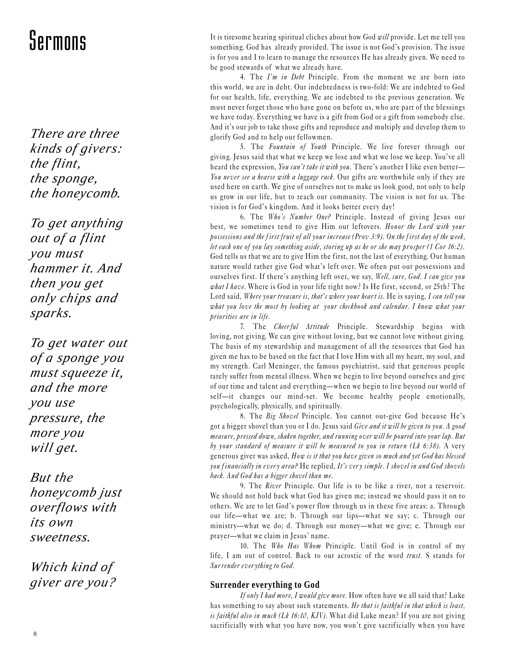*There are three kinds of givers: the flint, the sponge, the honeycomb.*

*To get anything out of a flint you must hammer it. And then you get only chips and sparks.*

*To get water out of a sponge you must squeeze it, and the more you use pressure, the more you will get.*

*But the honeycomb just overflows with its own sweetness.*

*Which kind of giver are you?*

Sermons It is tiresome hearing spiritual cliches about how God will provide. Let me tell you<br>something. God has already provided. The issue is not God's provision. The issue something. God has already provided. The issue is not God's provision. The issue is for you and I to learn to manage the resources He has already given. We need to be good stewards of what we already have.

> 4. The  $I'm$  in Debt Principle. From the moment we are born into this world, we are in debt. Our indebtedness is two-fold: We are indebted to God for our health, life, everything. We are indebted to the previous generation. We must never forget those who have gone on before us, who are part of the blessings we have today. Everything we have is a gift from God or a gift from somebody else. And it's our job to take those gifts and reproduce and multiply and develop them to glorify God and to help our fellowmen.

> 5. The Fountain of Youth Principle. We live forever through our giving. Jesus said that what we keep we lose and what we lose we keep. You've all heard the expression, You can't take it with you. There's another I like even better-You never see a hearse with a luggage rack. Our gifts are worthwhile only if they are used here on earth. We give of ourselves not to make us look good, not only to help us grow in our life, but to reach our community. The vision is not for us. The vision is for God's kingdom. And it looks better every day!

> 6. The Who's Number One? Principle. Instead of giving Jesus our best, we sometimes tend to give Him our leftovers. Honor the Lord with your possessions and the first fruit of all your increase (Prov 3:9). On the first day of the week, let each one of you lay something aside, storing up as he or she may prosper (1 Cor 16:2). God tells us that we are to give Him the first, not the last of everything. Our human nature would rather give God what's left over. We often put our possessions and ourselves first. If there's anything left over, we say, Well, sure, God. I can give you what I have. Where is God in your life right now? Is He first, second, or 25th? The Lord said, Where your treasure is, that's where your heart is. He is saying, I can tell you what you love the most by looking at your checkbook and calendar. I know what your priorities are in life.

> 7. The Cheerful Attitude Principle. Stewardship begins with loving, not giving. We can give without loving, but we cannot love without giving. The basis of my stewardship and management of all the resources that God has given me has to be based on the fact that I love Him with all my heart, my soul, and my strength. Carl Meninger, the famous psychiatrist, said that generous people rarely suffer from mental illness. When we begin to live beyond ourselves and give of our time and talent and everything—when we begin to live beyond our world of self-it changes our mind-set. We become healthy people emotionally, psychologically, physically, and spiritually.

> 8. The Big Shovel Principle. You cannot out-give God because He's got a bigger shovel than you or I do. Jesus said Give and it will be given to you. A good measure, pressed down, shaken together, and running over will be poured into your lap. But by your standard of measure it will be measured to you in return (Lk 6:38). A very generous giver was asked, How is it that you have given so much and yet God has blessed you financially in every area? He replied, It's very simple. I shovel in and God shovels back. And God has a bigger shovel than me.

> 9. The River Principle. Our life is to be like a river, not a reservoir. We should not hold back what God has given me; instead we should pass it on to others. We are to let God's power flow through us in these five areas: a. Through our life-what we are; b. Through our lips-what we say; c. Through our ministry-what we do; d. Through our money-what we give; e. Through our prayer—what we claim in Jesus' name.

> 10. The Who Has Whom Principle. Until God is in control of my life, I am out of control. Back to our acrostic of the word trust. S stands for Surrender ever ything to God.

#### **Surrender everything to God**

If only I had more, I would give more. How often have we all said that? Luke has something to say about such statements. He that is faithful in that which is least, is faithful also in much (Lk 16:10, KJV). What did Luke mean? If you are not giving sacrificially with what you have now, you won't give sacrificially when you have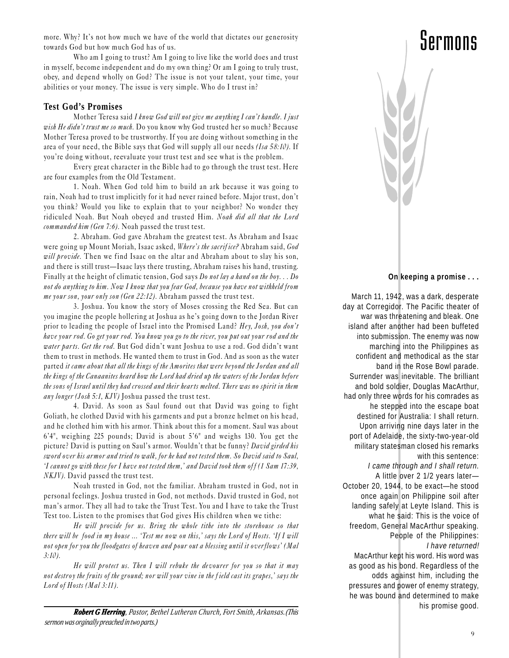more. Why? It's not how much we have of the world that dictates our generosity  $\Box$ towards God but how much God has of us.

Who am I going to trust? Am I going to live like the world does and trust in myself, become independent and do my own thing? Or am I going to truly trust, obey, and depend wholly on God? The issue is not your talent, your time, your abilities or your money. The issue is very simple. Who do I trust in?

#### **Test God's Promises**

Mother Teresa said I know God will not give me anything I can't handle. I just wish He didn't trust me so much. Do you know why God trusted her so much? Because Mother Teresa proved to be trustworthy. If you are doing without something in the area of your need, the Bible says that God will supply all our needs (Isa 58:10). If you're doing without, reevaluate your trust test and see what is the problem.

Every great character in the Bible had to go through the trust test. Here are four examples from the Old Testament.

1. Noah. When God told him to build an ark because it was going to rain, Noah had to trust implicitly for it had never rained before. Major trust, don't you think? Would you like to explain that to your neighbor? No wonder they ridiculed Noah. But Noah obeyed and trusted Him. Noah did all that the Lord commanded him (Gen 7:6). Noah passed the trust test.

2. Abraham. God gave Abraham the greatest test. As Abraham and Isaac were going up Mount Moriah, Isaac asked, Where's the sacrifice? Abraham said, God will provide. Then we find Isaac on the altar and Abraham about to slay his son, and there is still trust—Isaac lays there trusting, Abraham raises his hand, trusting. Finally at the height of climatic tension, God says Do not lay a hand on the boy... Do not do anything to him. Now I know that you fear God, because you have not withheld from me your son, your only son (Gen 22:12). Abraham passed the trust test.

3. Joshua. You know the story of Moses crossing the Red Sea. But can you imagine the people hollering at Joshua as he's going down to the Jordan River prior to leading the people of Israel into the Promised Land? Hey, Josh, you don't have your rod. Go get your rod. You know you go to the river, you put out your rod and the water parts. Get the rod. But God didn't want Joshua to use a rod. God didn't want them to trust in methods. He wanted them to trust in God. And as soon as the water parted it came about that all the kings of the Amorites that were beyond the Jordan and all the kings of the Canaanites heard how the Lord had dried up the waters of the Jordan before the sons of Israel until they had crossed and their hearts melted. There was no spirit in them any longer (Josh 5:1, KJV) Joshua passed the trust test.

4. David. As soon as Saul found out that David was going to fight Goliath, he clothed David with his garments and put a bronze helmet on his head, and he clothed him with his armor. Think about this for a moment. Saul was about  $6'4''$ , weighing 225 pounds; David is about  $5'6''$  and weighs 130. You get the picture? David is putting on Saul's armor. Wouldn't that be funny? David girded his sword over his armor and tried to walk, for he had not tested them. So David said to Saul, 'I cannot go with these for I have not tested them,' and David took them off (1 Sam 17:39, NKJV). David passed the trust test.

Noah trusted in God, not the familiar. Abraham trusted in God, not in personal feelings. Joshua trusted in God, not methods. David trusted in God, not man's armor. They all had to take the Trust Test. You and I have to take the Trust Test too. Listen to the promises that God gives His children when we tithe:

He will provide for us. Bring the whole tithe into the storehouse so that there will be food in my house ... 'Test me now on this,' says the Lord of Hosts. 'If I will not open for you the floodgates of heaven and pour out a blessing until it overflows' (Mal 3:10).

He will protect us. Then I will rebuke the devourer for you so that it may not destroy the fruits of the ground; nor will your vine in the field cast its grapes,' says the Lord of Hosts (Mal 3:11).

*Robert G Herring, Pastor, Bethel Lutheran Church, Fort Smith, Arkansas. (This sermon was orginally preached in two parts.)*



#### **On keeping a promise . . .**

March 11, 1942, was a dark, desperate day at Corregidor. The Pacific theater of war was threatening and bleak. One island after another had been buffeted into submission. The enemy was now marching into the Philippines as confident and methodical as the star band in the Rose Bowl parade. Surrender was inevitable. The brilliant and bold soldier, Douglas MacArthur, had only three words for his comrades as he stepped into the escape boat destined for Australia: I shall return. Upon arriving nine days later in the port of Adelaide, the sixty-two-year-old military statesman closed his remarks with this sentence: I came through and I shall return. A little over 2 1/2 years later— October 20, 1944, to be exact—he stood once again on Philippine soil after landing safely at Leyte Island. This is what he said: This is the voice of freedom, General MacArthur speaking. People of the Philippines: I have returned! MacArthur kept his word. His word was as good as his bond. Regardless of the odds against him, including the pressures and power of enemy strategy, he was bound and determined to make his promise good.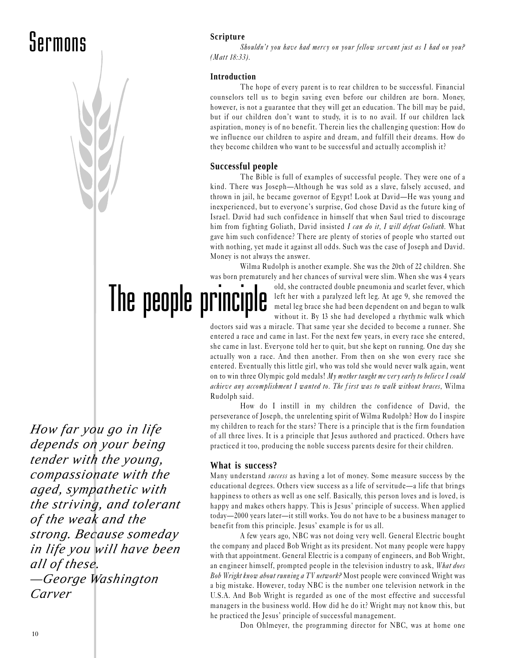### Sermons



#### **Scripture**

Shouldn't you have had mercy on your fellow servant just as I had on you? (Matt 18:33).

#### **Introduction**

The hope of every parent is to rear children to be successful. Financial counselors tell us to begin saving even before our children are born. Money, however, is not a guarantee that they will get an education. The bill may be paid, but if our children don't want to study, it is to no avail. If our children lack aspiration, money is of no benefit. Therein lies the challenging question: How do we influence our children to aspire and dream, and fulfill their dreams. How do they become children who want to be successful and actually accomplish it?

#### **Successful people**

The Bible is full of examples of successful people. They were one of a kind. There was Joseph-Although he was sold as a slave, falsely accused, and thrown in jail, he became governor of Egypt! Look at David—He was young and inexperienced, but to everyone's surprise, God chose David as the future king of Israel. David had such confidence in himself that when Saul tried to discourage him from fighting Goliath, David insisted I can do it, I will defeat Goliath. What gave him such confidence? There are plenty of stories of people who started out with nothing, yet made it against all odds. Such was the case of Joseph and David. Money is not always the answer.

Wilma Rudolph is another example. She was the 20th of 22 children. She was born prematurely and her chances of survival were slim. When she was 4 years

The people principle

old, she contracted double pneumonia and scarlet fever, which left her with a paralyzed left leg. At age 9, she removed the metal leg brace she had been dependent on and began to walk without it. By 13 she had developed a rhythmic walk which

doctors said was a miracle. That same year she decided to become a runner. She entered a race and came in last. For the next few years, in every race she entered, she came in last. Everyone told her to quit, but she kept on running. One day she actually won a race. And then another. From then on she won every race she entered. Eventually this little girl, who was told she would never walk again, went on to win three Olympic gold medals! My mother taught me very early to believe I could achieve any accomplishment I wanted to. The f irst was to walk without braces, Wilma Rudolph said.

How do I instill in my children the confidence of David, the perseverance of Joseph, the unrelenting spirit of Wilma Rudolph? How do I inspire my children to reach for the stars? There is a principle that is the firm foundation of all three lives. It is a principle that Jesus authored and practiced. Others have practiced it too, producing the noble success parents desire for their children.

#### **What is success?**

Many understand *success* as having a lot of money. Some measure success by the educational degrees. Others view success as a life of servitude—a life that brings happiness to others as well as one self. Basically, this person loves and is loved, is happy and makes others happy. This is Jesus' principle of success. When applied today-2000 years later-it still works. You do not have to be a business manager to benefit from this principle. Jesus' example is for us all.

A few years ago, NBC was not doing very well. General Electric bought the company and placed Bob Wright as its president. Not many people were happy with that appointment. General Electric is a company of engineers, and Bob Wright, an engineer himself, prompted people in the television industry to ask, What does Bob Wright know about running a TV network? Most people were convinced Wright was a big mistake. However, today NBC is the number one television network in the U.S.A. And Bob Wright is regarded as one of the most effective and successful managers in the business world. How did he do it? Wright may not know this, but he practiced the Jesus' principle of successful management.

Don Ohlmeyer, the programming director for NBC, was at home one

*How far you go in life depends on your being tender with the young, compassionate with the aged, sympathetic with the striving, and tolerant of the weak and the strong. Because someday in life you will have been all of these. —George Washington Carver*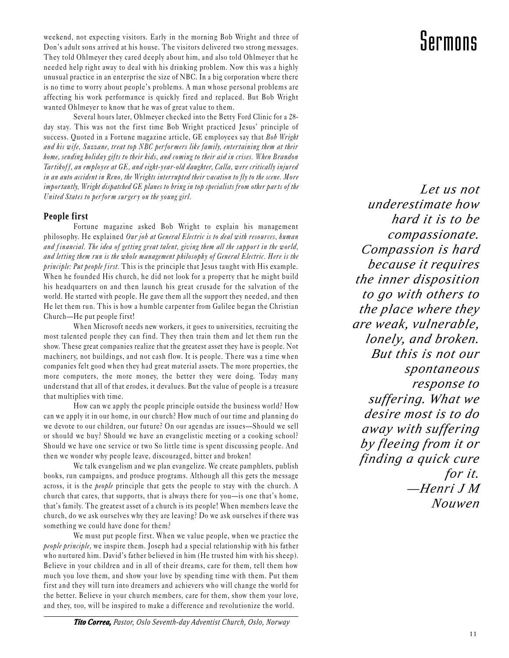weekend, not expecting visitors. Early in the morning Bob Wright and three of **Supering the morning Solution** Serve<br>Don's adult sons arrived at his house. The visitors delivered two strong messages. Don's adult sons arrived at his house. The visitors delivered two strong messages. They told Ohlmeyer they cared deeply about him, and also told Ohlmeyer that he needed help right away to deal with his drinking problem. Now this was a highly unusual practice in an enterprise the size of NBC. In a big corporation where there is no time to worry about people's problems. A man whose personal problems are affecting his work performance is quickly fired and replaced. But Bob Wright wanted Ohlmeyer to know that he was of great value to them.

Several hours later, Ohlmeyer checked into the Betty Ford Clinic for a 28 day stay. This was not the first time Bob Wright practiced Jesus' principle of success. Quoted in a Fortune magazine article, GE employees say that Bob Wright and his wife, Suzzane, treat top NBC performers like family, entertaining them at their home, sending holiday gifts to their kids, and coming to their aid in crises. When Brandon Tar tikoff, an employee at GE, and eight-year-old daughter, Calla, were critically injured in an auto accident in Reno, the Wrights interrupted their vacation to fly to the scene. More importantly, Wright dispatched GE planes to bring in top specialists from other parts of the United States to perform surger y on the young girl.

#### **People first**

Fortune magazine asked Bob Wright to explain his management philosophy. He explained Our job at General Electric is to deal with resources, human and financial. The idea of getting great talent, giving them all the support in the world, and letting them run is the whole management philosophy of General Electric. Here is the principle: Put people first. This is the principle that Jesus taught with His example. When he founded His church, he did not look for a property that he might build his headquarters on and then launch his great crusade for the salvation of the world. He started with people. He gave them all the support they needed, and then He let them run. This is how a humble carpenter from Galilee began the Christian Church—He put people first!

When Microsoft needs new workers, it goes to universities, recruiting the most talented people they can find. They then train them and let them run the show. These great companies realize that the greatest asset they have is people. Not machinery, not buildings, and not cash flow. It is people. There was a time when companies felt good when they had great material assets. The more properties, the more computers, the more money, the better they were doing. Today many understand that all of that erodes, it devalues. But the value of people is a treasure that multiplies with time.

How can we apply the people principle outside the business world? How can we apply it in our home, in our church? How much of our time and planning do we devote to our children, our future? On our agendas are issues—Should we sell or should we buy? Should we have an evangelistic meeting or a cooking school? Should we have one service or two So little time is spent discussing people. And then we wonder why people leave, discouraged, bitter and broken!

We talk evangelism and we plan evangelize. We create pamphlets, publish books, run campaigns, and produce programs. Although all this gets the message across, it is the people principle that gets the people to stay with the church. A church that cares, that supports, that is always there for you-is one that's home, that's family. The greatest asset of a church is its people! When members leave the church, do we ask ourselves why they are leaving? Do we ask ourselves if there was something we could have done for them?

We must put people first. When we value people, when we practice the people principle, we inspire them. Joseph had a special relationship with his father who nurtured him. David's father believed in him (He trusted him with his sheep). Believe in your children and in all of their dreams, care for them, tell them how much you love them, and show your love by spending time with them. Put them first and they will turn into dreamers and achievers who will change the world for the better. Believe in your church members, care for them, show them your love, and they, too, will be inspired to make a difference and revolutionize the world.

*Let us not underestimate how hard it is to be compassionate. Compassion is hard because it requires the inner disposition to go with others to the place where they are weak, vulnerable, lonely, and broken. But this is not our spontaneous response to suffering. What we desire most is to do away with suffering by fleeing from it or finding a quick cure for it. —Henri J M Nouwen*

*Tito Correa, Pastor, Oslo Seventh-day Adventist Church, Oslo, Norway*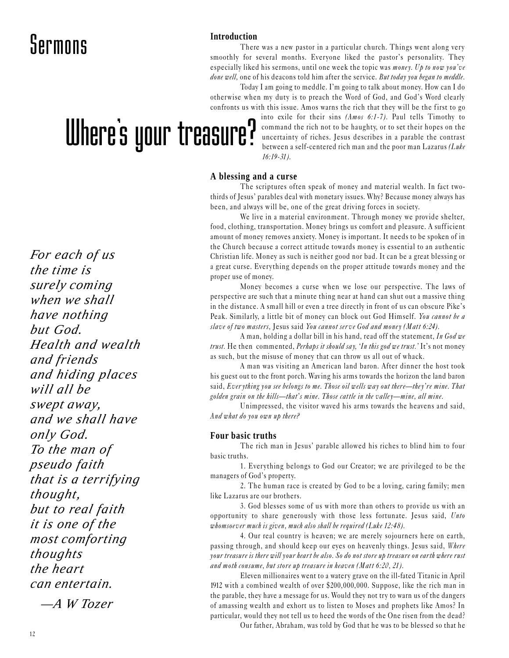### Sermons

#### **Introduction**

There was a new pastor in a particular church. Things went along very smoothly for several months. Everyone liked the pastor's personality. They especially liked his sermons, until one week the topic was money. Up to now you've done well, one of his deacons told him after the service. But today you began to meddle.

Today I am going to meddle. I'm going to talk about money. How can I do otherwise when my duty is to preach the Word of God, and God's Word clearly confronts us with this issue. Amos warns the rich that they will be the first to go

# Where's your treasure?

*For each of us the time is surely coming when we shall have nothing but God. Health and wealth and friends and hiding places will all be swept away, and we shall have only God. To the man of pseudo faith that is a terrifying thought, but to real faith it is one of the most comforting thoughts the heart can entertain.*

 *—A W Tozer*

into exile for their sins (Amos 6:1-7). Paul tells Timothy to command the rich not to be haughty, or to set their hopes on the uncertainty of riches. Jesus describes in a parable the contrast between a self-centered rich man and the poor man Lazarus (Luke 16:19-31).

#### **A blessing and a curse**

The scriptures often speak of money and material wealth. In fact twothirds of Jesus' parables deal with monetary issues. Why? Because money always has been, and always will be, one of the great driving forces in society.

We live in a material environment. Through money we provide shelter, food, clothing, transportation. Money brings us comfort and pleasure. A sufficient amount of money removes anxiety. Money is important. It needs to be spoken of in the Church because a correct attitude towards money is essential to an authentic Christian life. Money as such is neither good nor bad. It can be a great blessing or a great curse. Everything depends on the proper attitude towards money and the proper use of money.

Money becomes a curse when we lose our perspective. The laws of perspective are such that a minute thing near at hand can shut out a massive thing in the distance. A small hill or even a tree directly in front of us can obscure Pike's Peak. Similarly, a little bit of money can block out God Himself. You cannot be a slave of two masters, Jesus said You cannot serve God and money (Matt 6:24).

A man, holding a dollar bill in his hand, read off the statement, In God we trust. He then commented, *Perhaps it should say*, *'In this god we trust*.' It's not money as such, but the misuse of money that can throw us all out of whack.

A man was visiting an American land baron. After dinner the host took his guest out to the front porch. Waving his arms towards the horizon the land baron said, Ever ything you see belongs to me. Those oil wells way out there—they're mine. That golden grain on the hills—that's mine. Those cattle in the valley—mine, all mine.

Unimpressed, the visitor waved his arms towards the heavens and said, And what do you own up there?

#### **Four basic truths**

The rich man in Jesus' parable allowed his riches to blind him to four basic truths.

1. Everything belongs to God our Creator; we are privileged to be the managers of God's property.

2. The human race is created by God to be a loving, caring family; men like Lazarus are our brothers.

3. God blesses some of us with more than others to provide us with an opportunity to share generously with those less fortunate. Jesus said, Unto whomsoever much is given, much also shall be required (Luke  $12:48$ ).

4. Our real country is heaven; we are merely sojourners here on earth, passing through, and should keep our eyes on heavenly things. Jesus said, Where your treasure is there will your heart be also. So do not store up treasure on earth where rust and moth consume, but store up treasure in heaven (Matt 6:20, 21).

Eleven millionaires went to a watery grave on the ill-fated Titanic in April 1912 with a combined wealth of over \$200,000,000. Suppose, like the rich man in the parable, they have a message for us. Would they not try to warn us of the dangers of amassing wealth and exhort us to listen to Moses and prophets like Amos? In particular, would they not tell us to heed the words of the One risen from the dead?

Our father, Abraham, was told by God that he was to be blessed so that he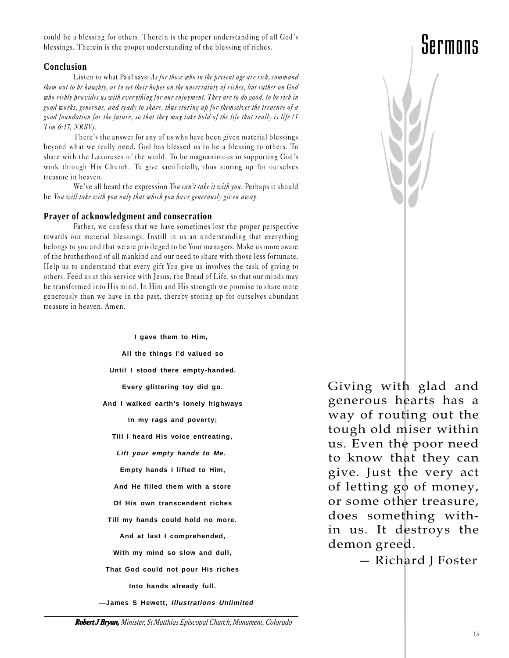could be a blessing for others. Therein is the proper understanding of all God's blessings. Therein is the proper understanding of the blessing of riches.

#### **Conclusion**

Listen to what Paul says: As for those who in the present age are rich, command them not to be haughty, or to set their hopes on the uncertainty of riches, but rather on God who richly provides us with ever ything for our enjoyment. They are to do good, to be rich in good works, generous, and ready to share, thus storing up for themselves the treasure of a good foundation for the future, so that they may take hold of the life that really is life (1 Tim 6:17, NRSV).

There's the answer for any of us who have been given material blessings beyond what we really need. God has blessed us to be a blessing to others. To share with the Lazuruses of the world. To be magnanimous in supporting God's work through His Church. To give sacrificially, thus storing up for ourselves treasure in heaven.

We've all heard the expression You can't take it with you. Perhaps it should be You will take with you only that which you have generously given away.

#### **Prayer of acknowledgment and consecration**

Father, we confess that we have sometimes lost the proper perspective towards our material blessings. Instill in us an understanding that everything belongs to you and that we are privileged to be Your managers. Make us more aware of the brotherhood of all mankind and our need to share with those less fortunate. Help us to understand that every gift You give us involves the task of giving to others. Feed us at this service with Jesus, the Bread of Life, so that our minds may be transformed into His mind. In Him and His strength we promise to share more generously than we have in the past, thereby storing up for ourselves abundant treasure in heaven. Amen.

> **I gave them to Him, All the things I'd valued so Until I stood there empty-handed. Every glittering toy did go. And I walked earth's lonely highways In my rags and poverty; Till I heard His voice entreating, Lift your empty hands to Me. Empty hands I lifted to Him, And He filled them with a store Of His own transcendent riches Till my hands could hold no more. And at last I comprehended, With my mind so slow and dull, That God could not pour His riches Into hands already full. —James S Hewett, Illustrations Unlimited**

Giving with glad and generous hearts has a way of routing out the tough old miser within us. Even the poor need to know that they can give. Just the very act of letting go of money, or some other treasure, does something within us. It destroys the demon greed.

- Richard J Foster

### Sermons

 *Robert J Bryan, Minister, St Matthias Episcopal Church, Monument, Colorado*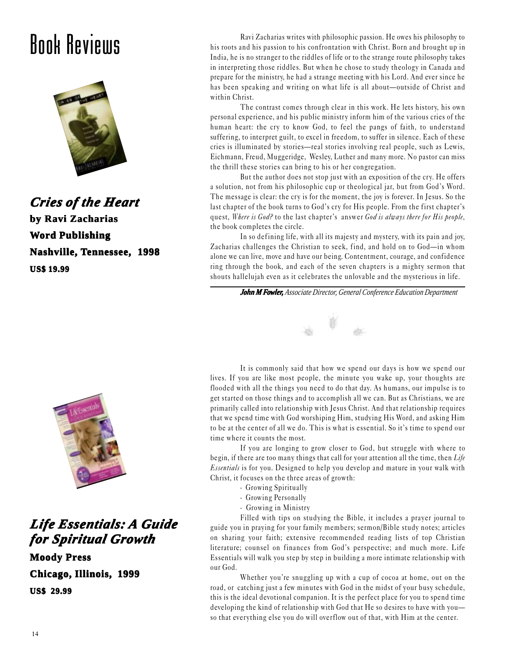### Book Reviews



*Cries of the Heart* **by Ravi Zacharias Zacharias Word Publishing Nashville, Tennessee, 1998 US\$ 19.99**



#### *Life Essentials: A Guide for Spir or Spiritual Gr itual Growth*

**Moody Press Chicago, Illinois, 1999 US\$ 29.99**

Ravi Zacharias writes with philosophic passion. He owes his philosophy to his roots and his passion to his confrontation with Christ. Born and brought up in India, he is no stranger to the riddles of life or to the strange route philosophy takes in interpreting those riddles. But when he chose to study theology in Canada and prepare for the ministry, he had a strange meeting with his Lord. And ever since he has been speaking and writing on what life is all about—outside of Christ and within Christ.

The contrast comes through clear in this work. He lets history, his own personal experience, and his public ministry inform him of the various cries of the human heart: the cry to know God, to feel the pangs of faith, to understand suffering, to interpret guilt, to excel in freedom, to suffer in silence. Each of these cries is illuminated by stories—real stories involving real people, such as Lewis, Eichmann, Freud, Muggeridge, Wesley, Luther and many more. No pastor can miss the thrill these stories can bring to his or her congregation.

But the author does not stop just with an exposition of the cry. He offers a solution, not from his philosophic cup or theological jar, but from God's Word. The message is clear: the cry is for the moment, the joy is forever. In Jesus. So the last chapter of the book turns to God's cry for His people. From the first chapter's quest, Where is  $God<sup>2</sup>$  to the last chapter's answer God is always there for His people, the book completes the circle.

In so defining life, with all its majesty and mystery, with its pain and joy, Zacharias challenges the Christian to seek, find, and hold on to God-in whom alone we can live, move and have our being. Contentment, courage, and confidence ring through the book, and each of the seven chapters is a mighty sermon that shouts hallelujah even as it celebrates the unlovable and the mysterious in life.

*John M Fowler, Associate Director, General Conference Education Department*



It is commonly said that how we spend our days is how we spend our lives. If you are like most people, the minute you wake up, your thoughts are flooded with all the things you need to do that day. As humans, our impulse is to get started on those things and to accomplish all we can. But as Christians, we are primarily called into relationship with Jesus Christ. And that relationship requires that we spend time with God worshiping Him, studying His Word, and asking Him to be at the center of all we do. This is what is essential. So it's time to spend our time where it counts the most.

If you are longing to grow closer to God, but struggle with where to begin, if there are too many things that call for your attention all the time, then Life Essentials is for you. Designed to help you develop and mature in your walk with Christ, it focuses on the three areas of growth:

- · Growing Spiritually
- · Growing Personally
- · Growing in Ministry

Filled with tips on studying the Bible, it includes a prayer journal to guide you in praying for your family members; sermon/Bible study notes; articles on sharing your faith; extensive recommended reading lists of top Christian literature; counsel on finances from God's perspective; and much more. Life Essentials will walk you step by step in building a more intimate relationship with our God.

Whether you're snuggling up with a cup of cocoa at home, out on the road, or catching just a few minutes with God in the midst of your busy schedule, this is the ideal devotional companion. It is the per fect place for you to spend time developing the kind of relationship with God that He so desires to have with you so that everything else you do will over flow out of that, with Him at the center.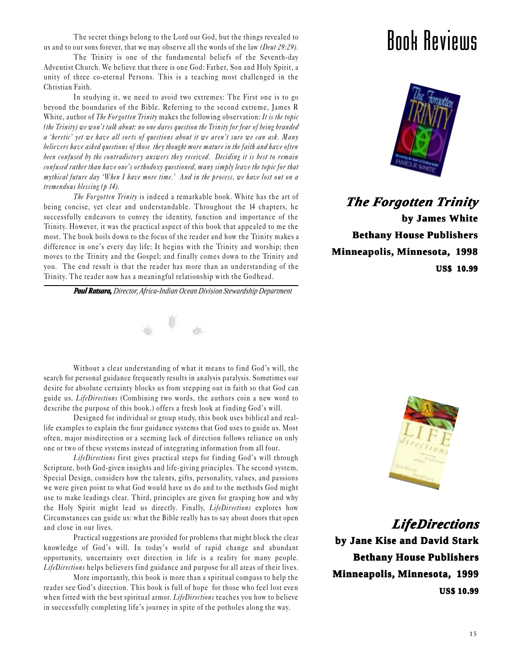The secret things belong to the Lord our God, but the things revealed to us and to our sons forever, that we may observe all the words of the law *(Deut 29:29)*.

The Trinity is one of the fundamental beliefs of the Seventh-day Adventist Church. We believe that there is one God: Father, Son and Holy Spirit, a unity of three co-eternal Persons. This is a teaching most challenged in the Christian Faith.

In studying it, we need to avoid two extremes: The First one is to go beyond the boundaries of the Bible. Referring to the second extreme, James R White, author of The Forgotten Trinity makes the following observation: It is the topic (the Trinity) we won't talk about: no one dares question the Trinity for fear of being branded a 'heretic' yet we have all sorts of questions about it we aren't sure we can ask. Many believers have asked questions of those they thought more mature in the faith and have often been confused by the contradictory answers they received. Deciding it is best to remain confused rather than have one's orthodoxy questioned, many simply leave the topic for that mythical future day 'When I have more time.' And in the process, we have lost out on a tremendous blessing (p 14).

The Forgotten Trinity is indeed a remarkable book. White has the art of being concise, yet clear and understandable. Throughout the 14 chapters, he successfully endeavors to convey the identity, function and importance of the Trinity. However, it was the practical aspect of this book that appealed to me the most. The book boils down to the focus of the reader and how the Trinity makes a difference in one's every day life: It begins with the Trinity and worship; then moves to the Trinity and the Gospel; and finally comes down to the Trinity and you. The end result is that the reader has more than an understanding of the Trinity. The reader now has a meaningful relationship with the Godhead.

*Paul Ratsara, Director, Africa-Indian Ocean Division Stewardship Department*



Without a clear understanding of what it means to find God's will, the search for personal guidance frequently results in analysis paralysis. Sometimes our desire for absolute certainty blocks us from stepping out in faith so that God can guide us. LifeDirections (Combining two words, the authors coin a new word to describe the purpose of this book.) offers a fresh look at finding God's will.

Designed for individual or group study, this book uses biblical and reallife examples to explain the four guidance systems that God uses to guide us. Most often, major misdirection or a seeming lack of direction follows reliance on only one or two of these systems instead of integrating information from all four.

LifeDirections first gives practical steps for finding God's will through Scripture, both God-given insights and life-giving principles. The second system, Special Design, considers how the talents, gifts, personality, values, and passions we were given point to what God would have us do and to the methods God might use to make leadings clear. Third, principles are given for grasping how and why the Holy Spirit might lead us directly. Finally, LifeDirections explores how Circumstances can guide us: what the Bible really has to say about doors that open and close in our lives.

Practical suggestions are provided for problems that might block the clear knowledge of God's will. In today's world of rapid change and abundant opportunity, uncertainty over direction in life is a reality for many people. LifeDirections helps believers find guidance and purpose for all areas of their lives.

More importantly, this book is more than a spiritual compass to help the reader see God's direction. This book is full of hope for those who feel lost even when fitted with the best spiritual armor. LifeDirections teaches you how to believe in successfully completing life's journey in spite of the potholes along the way.

### Book Reviews



*The Forgotten Trinity*  **by James White Bethany House Publishers Minneapolis, Minnesota, 1998 US\$ 10.99**



*LifeDirections LifeDirections*

**by Jane Kise and David Stark Bethany House Publishers House Minneapolis, Minnesota, 1999 US\$ 10.99**